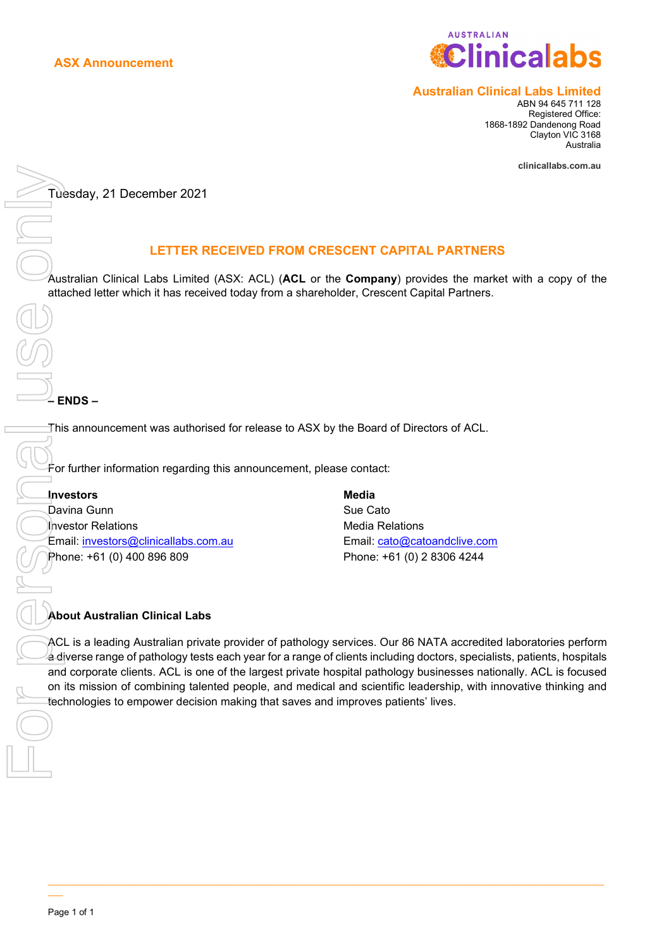

### **Australian Clinical Labs Limited**

ABN 94 645 711 128 Registered Office: 1868-1892 Dandenong Road Clayton VIC 3168 Australia

**[clinicallabs.com.au](http://www.clinicallabs.com.au/)**

Tuesday, 21 December 2021

## **LETTER RECEIVED FROM CRESCENT CAPITAL PARTNERS**

Australian Clinical Labs Limited (ASX: ACL) (**ACL** or the **Company**) provides the market with a copy of the attached letter which it has received today from a shareholder, Crescent Capital Partners.

**– ENDS –**

This announcement was authorised for release to ASX by the Board of Directors of ACL.

For further information regarding this announcement, please contact:

**Investors** Davina Gunn Investor Relations Email: investors@clinicallabs.com.au Phone: +61 (0) 400 896 809

**Media** Sue Cato Media Relations Email: cato@catoandclive.com Phone: +61 (0) 2 8306 4244

### **About Australian Clinical Labs**

ACL is a leading Australian private provider of pathology services. Our 86 NATA accredited laboratories perform a diverse range of pathology tests each year for a range of clients including doctors, specialists, patients, hospitals and corporate clients. ACL is one of the largest private hospital pathology businesses nationally. ACL is focused on its mission of combining talented people, and medical and scientific leadership, with innovative thinking and

 $\mathcal{L}_\mathcal{L} = \{ \mathcal{L}_\mathcal{L} = \{ \mathcal{L}_\mathcal{L} = \{ \mathcal{L}_\mathcal{L} = \{ \mathcal{L}_\mathcal{L} = \{ \mathcal{L}_\mathcal{L} = \{ \mathcal{L}_\mathcal{L} = \{ \mathcal{L}_\mathcal{L} = \{ \mathcal{L}_\mathcal{L} = \{ \mathcal{L}_\mathcal{L} = \{ \mathcal{L}_\mathcal{L} = \{ \mathcal{L}_\mathcal{L} = \{ \mathcal{L}_\mathcal{L} = \{ \mathcal{L}_\mathcal{L} = \{ \mathcal{L}_\mathcal{$ 

\_\_\_